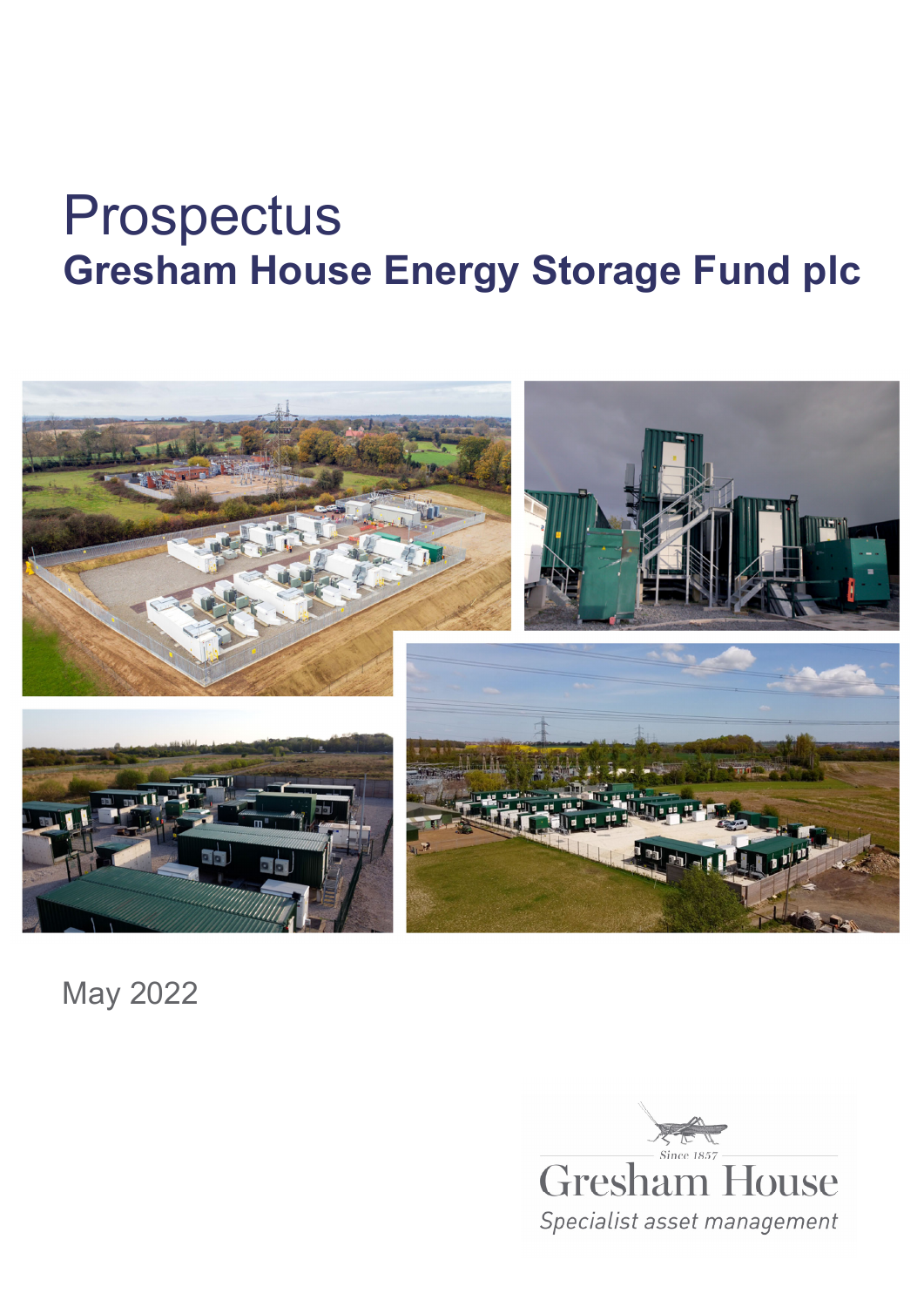# Prospectus **Gresham House Energy Storage Fund plc**



May 2022

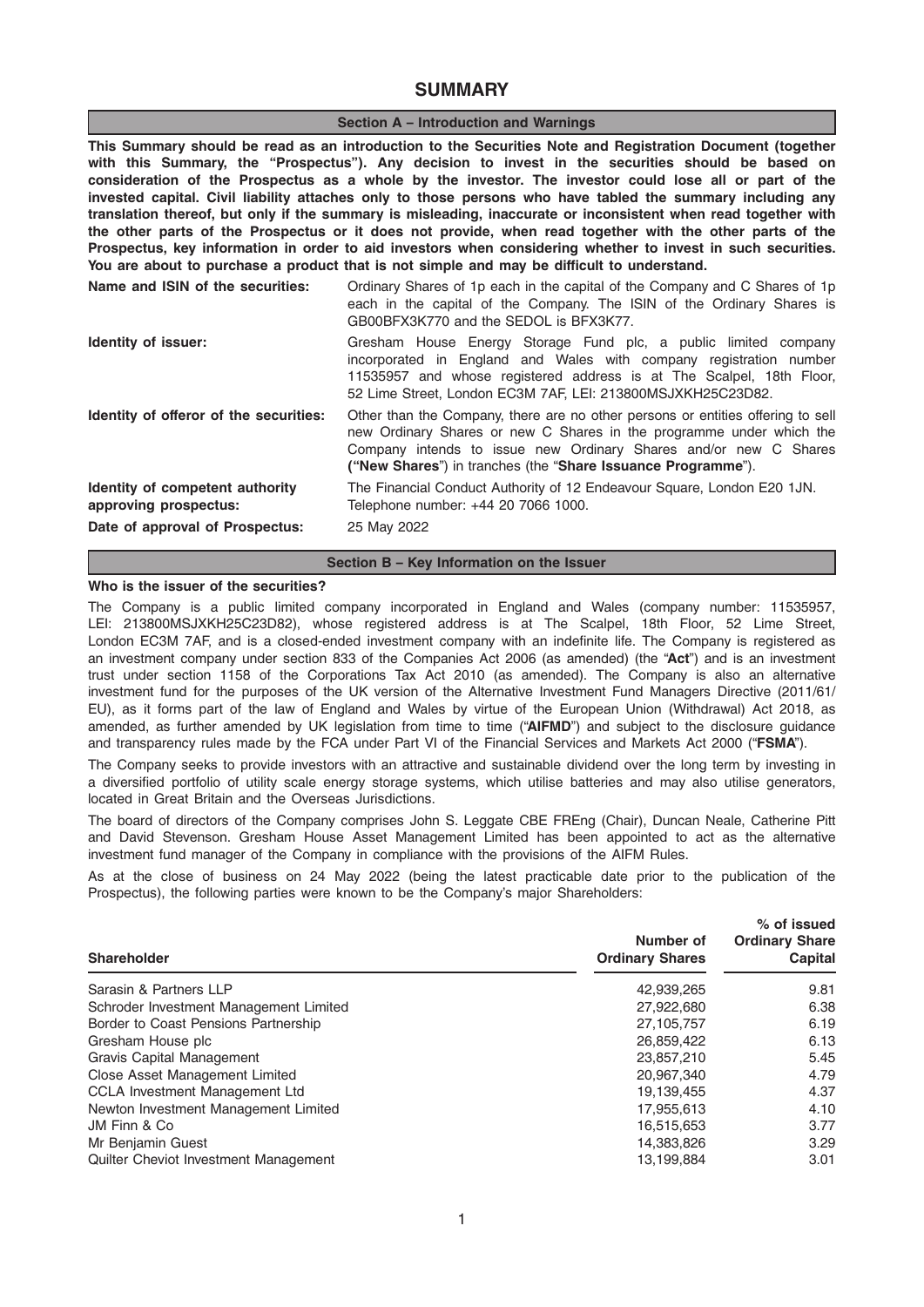# **SUMMARY**

#### Section A – Introduction and Warnings

This Summary should be read as an introduction to the Securities Note and Registration Document (together with this Summary, the "Prospectus"). Any decision to invest in the securities should be based on consideration of the Prospectus as a whole by the investor. The investor could lose all or part of the invested capital. Civil liability attaches only to those persons who have tabled the summary including any translation thereof, but only if the summary is misleading, inaccurate or inconsistent when read together with the other parts of the Prospectus or it does not provide, when read together with the other parts of the Prospectus, key information in order to aid investors when considering whether to invest in such securities. You are about to purchase a product that is not simple and may be difficult to understand.

| Name and ISIN of the securities:                         | Ordinary Shares of 1p each in the capital of the Company and C Shares of 1p<br>each in the capital of the Company. The ISIN of the Ordinary Shares is<br>GB00BFX3K770 and the SEDOL is BFX3K77.                                                                                             |
|----------------------------------------------------------|---------------------------------------------------------------------------------------------------------------------------------------------------------------------------------------------------------------------------------------------------------------------------------------------|
| <b>Identity of issuer:</b>                               | Gresham House Energy Storage Fund plc, a public limited company<br>incorporated in England and Wales with company registration number<br>11535957 and whose registered address is at The Scalpel, 18th Floor,<br>52 Lime Street, London EC3M 7AF, LEI: 213800MSJXKH25C23D82.                |
| Identity of offeror of the securities:                   | Other than the Company, there are no other persons or entities offering to sell<br>new Ordinary Shares or new C Shares in the programme under which the<br>Company intends to issue new Ordinary Shares and/or new C Shares<br>("New Shares") in tranches (the "Share Issuance Programme"). |
| Identity of competent authority<br>approving prospectus: | The Financial Conduct Authority of 12 Endeavour Square, London E20 1JN.<br>Telephone number: +44 20 7066 1000.                                                                                                                                                                              |
| Date of approval of Prospectus:                          | 25 May 2022                                                                                                                                                                                                                                                                                 |

# Section B – Key Information on the Issuer

### Who is the issuer of the securities?

The Company is a public limited company incorporated in England and Wales (company number: 11535957, LEI: 213800MSJXKH25C23D82), whose registered address is at The Scalpel, 18th Floor, 52 Lime Street, London EC3M 7AF, and is a closed-ended investment company with an indefinite life. The Company is registered as an investment company under section 833 of the Companies Act 2006 (as amended) (the "Act") and is an investment trust under section 1158 of the Corporations Tax Act 2010 (as amended). The Company is also an alternative investment fund for the purposes of the UK version of the Alternative Investment Fund Managers Directive (2011/61/ EU), as it forms part of the law of England and Wales by virtue of the European Union (Withdrawal) Act 2018, as amended, as further amended by UK legislation from time to time ("AIFMD") and subject to the disclosure guidance and transparency rules made by the FCA under Part VI of the Financial Services and Markets Act 2000 ("FSMA").

The Company seeks to provide investors with an attractive and sustainable dividend over the long term by investing in a diversified portfolio of utility scale energy storage systems, which utilise batteries and may also utilise generators, located in Great Britain and the Overseas Jurisdictions.

The board of directors of the Company comprises John S. Leggate CBE FREng (Chair), Duncan Neale, Catherine Pitt and David Stevenson. Gresham House Asset Management Limited has been appointed to act as the alternative investment fund manager of the Company in compliance with the provisions of the AIFM Rules.

As at the close of business on 24 May 2022 (being the latest practicable date prior to the publication of the Prospectus), the following parties were known to be the Company's major Shareholders:

| <b>Shareholder</b>                     | Number of<br><b>Ordinary Shares</b> | % of issued<br><b>Ordinary Share</b><br><b>Capital</b> |
|----------------------------------------|-------------------------------------|--------------------------------------------------------|
| Sarasin & Partners LLP                 | 42,939,265                          | 9.81                                                   |
| Schroder Investment Management Limited | 27,922,680                          | 6.38                                                   |
| Border to Coast Pensions Partnership   | 27,105,757                          | 6.19                                                   |
| Gresham House plc                      | 26,859,422                          | 6.13                                                   |
| Gravis Capital Management              | 23,857,210                          | 5.45                                                   |
| Close Asset Management Limited         | 20,967,340                          | 4.79                                                   |
| <b>CCLA Investment Management Ltd</b>  | 19,139,455                          | 4.37                                                   |
| Newton Investment Management Limited   | 17,955,613                          | 4.10                                                   |
| JM Finn & Co                           | 16,515,653                          | 3.77                                                   |
| Mr Benjamin Guest                      | 14,383,826                          | 3.29                                                   |
| Quilter Cheviot Investment Management  | 13,199,884                          | 3.01                                                   |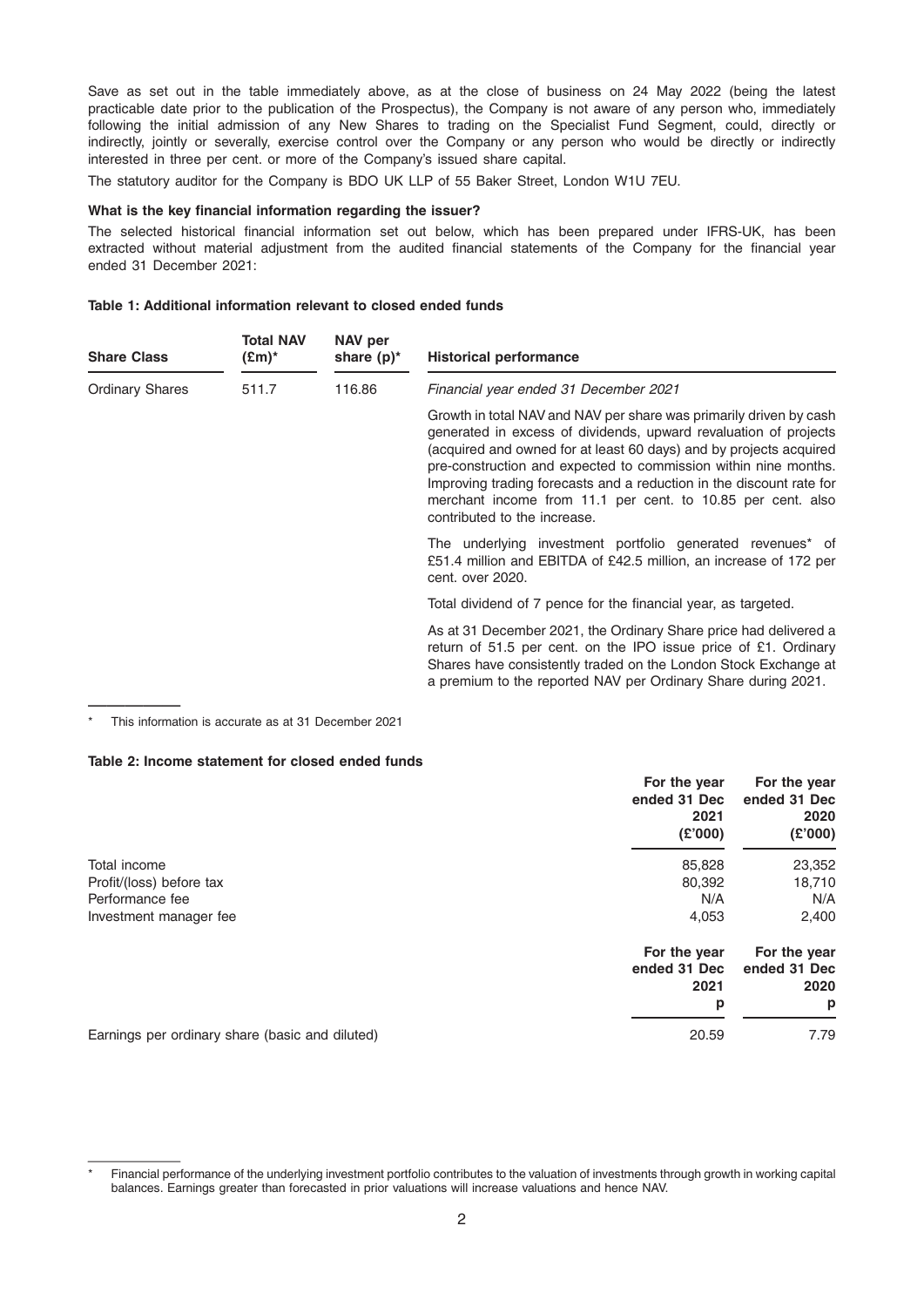Save as set out in the table immediately above, as at the close of business on 24 May 2022 (being the latest practicable date prior to the publication of the Prospectus), the Company is not aware of any person who, immediately following the initial admission of any New Shares to trading on the Specialist Fund Segment, could, directly or indirectly, jointly or severally, exercise control over the Company or any person who would be directly or indirectly interested in three per cent. or more of the Company's issued share capital.

The statutory auditor for the Company is BDO UK LLP of 55 Baker Street, London W1U 7EU.

#### What is the key financial information regarding the issuer?

The selected historical financial information set out below, which has been prepared under IFRS-UK, has been extracted without material adjustment from the audited financial statements of the Company for the financial year ended 31 December 2021:

### Table 1: Additional information relevant to closed ended funds

| <b>Share Class</b>              | <b>Total NAV</b><br>(£m)* | NAV per<br>share $(p)^*$                                                                                                                                                                                                                                                                                                                                                                                                                               | <b>Historical performance</b>                                                                                                                                                                                                                                           |
|---------------------------------|---------------------------|--------------------------------------------------------------------------------------------------------------------------------------------------------------------------------------------------------------------------------------------------------------------------------------------------------------------------------------------------------------------------------------------------------------------------------------------------------|-------------------------------------------------------------------------------------------------------------------------------------------------------------------------------------------------------------------------------------------------------------------------|
| <b>Ordinary Shares</b><br>511.7 |                           | 116.86                                                                                                                                                                                                                                                                                                                                                                                                                                                 | Financial year ended 31 December 2021                                                                                                                                                                                                                                   |
|                                 |                           | Growth in total NAV and NAV per share was primarily driven by cash<br>generated in excess of dividends, upward revaluation of projects<br>(acquired and owned for at least 60 days) and by projects acquired<br>pre-construction and expected to commission within nine months.<br>Improving trading forecasts and a reduction in the discount rate for<br>merchant income from 11.1 per cent. to 10.85 per cent. also<br>contributed to the increase. |                                                                                                                                                                                                                                                                         |
|                                 |                           |                                                                                                                                                                                                                                                                                                                                                                                                                                                        | The underlying investment portfolio generated revenues <sup>*</sup> of<br>£51.4 million and EBITDA of £42.5 million, an increase of 172 per<br>cent. over 2020.                                                                                                         |
|                                 |                           |                                                                                                                                                                                                                                                                                                                                                                                                                                                        | Total dividend of 7 pence for the financial year, as targeted.                                                                                                                                                                                                          |
|                                 |                           |                                                                                                                                                                                                                                                                                                                                                                                                                                                        | As at 31 December 2021, the Ordinary Share price had delivered a<br>return of 51.5 per cent. on the IPO issue price of £1. Ordinary<br>Shares have consistently traded on the London Stock Exchange at<br>a premium to the reported NAV per Ordinary Share during 2021. |

————— This information is accurate as at 31 December 2021

#### Table 2: Income statement for closed ended funds

|                                                 | For the year<br>ended 31 Dec<br>2021<br>(E'000) | For the year<br>ended 31 Dec<br>2020<br>(E'000) |
|-------------------------------------------------|-------------------------------------------------|-------------------------------------------------|
| Total income                                    | 85,828                                          | 23,352                                          |
| Profit/(loss) before tax                        | 80,392                                          | 18,710                                          |
| Performance fee                                 | N/A                                             | N/A                                             |
| Investment manager fee                          | 4,053                                           | 2,400                                           |
|                                                 | For the year<br>ended 31 Dec<br>2021            | For the year<br>ended 31 Dec<br>2020            |
|                                                 | p                                               | p                                               |
| Earnings per ordinary share (basic and diluted) | 20.59                                           | 7.79                                            |

Financial performance of the underlying investment portfolio contributes to the valuation of investments through growth in working capital balances. Earnings greater than forecasted in prior valuations will increase valuations and hence NAV.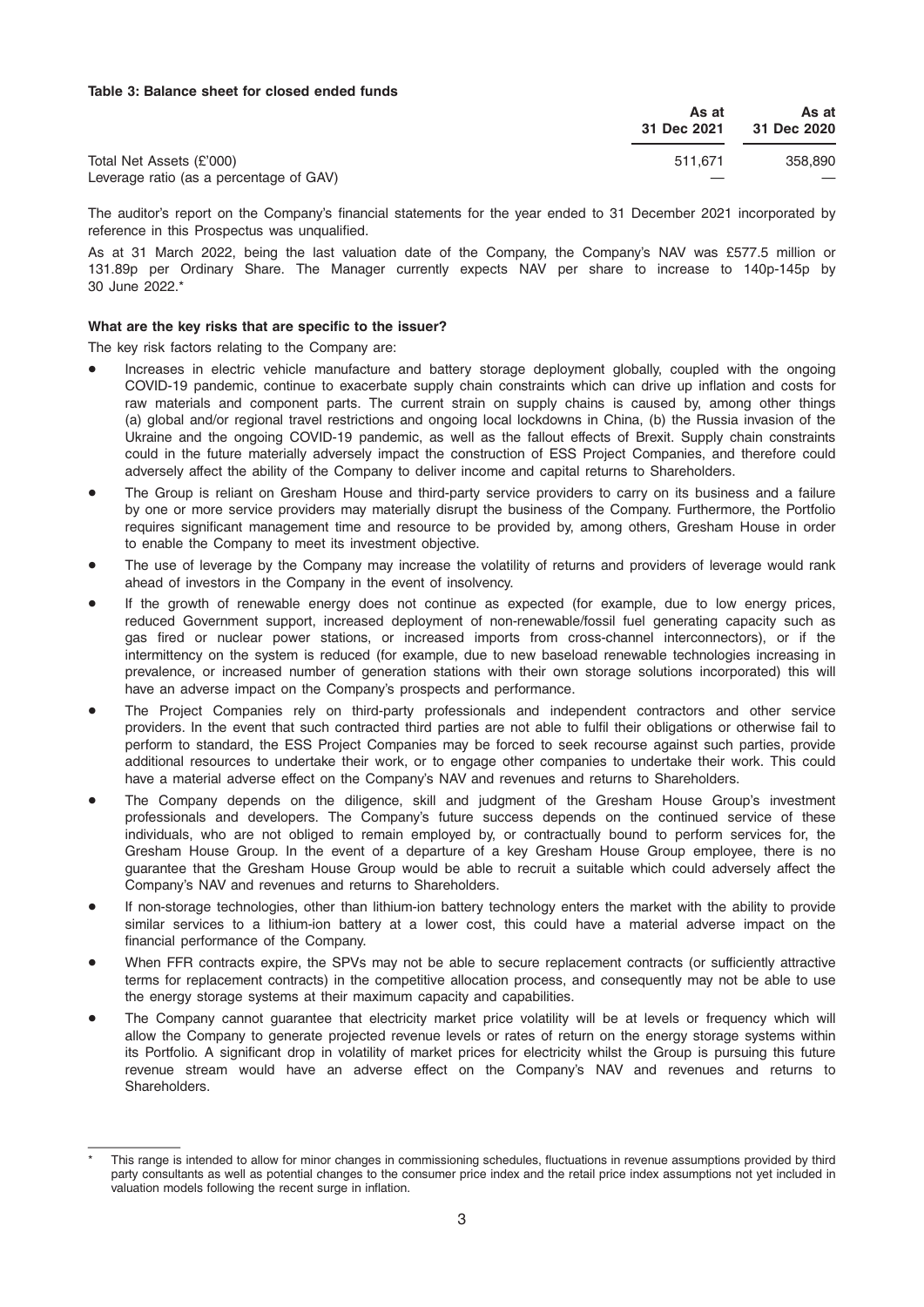### Table 3: Balance sheet for closed ended funds

|                                         | As at<br>31 Dec 2021 | As at<br>31 Dec 2020 |
|-----------------------------------------|----------------------|----------------------|
| Total Net Assets (£'000)                | 511.671              | 358,890              |
| Leverage ratio (as a percentage of GAV) |                      |                      |

The auditor's report on the Company's financial statements for the year ended to 31 December 2021 incorporated by reference in this Prospectus was unqualified.

As at 31 March 2022, being the last valuation date of the Company, the Company's NAV was £577.5 million or 131.89p per Ordinary Share. The Manager currently expects NAV per share to increase to 140p-145p by 30 June 2022.\*

#### What are the key risks that are specific to the issuer?

The key risk factors relating to the Company are:

- Increases in electric vehicle manufacture and battery storage deployment globally, coupled with the ongoing COVID-19 pandemic, continue to exacerbate supply chain constraints which can drive up inflation and costs for raw materials and component parts. The current strain on supply chains is caused by, among other things (a) global and/or regional travel restrictions and ongoing local lockdowns in China, (b) the Russia invasion of the Ukraine and the ongoing COVID-19 pandemic, as well as the fallout effects of Brexit. Supply chain constraints could in the future materially adversely impact the construction of ESS Project Companies, and therefore could adversely affect the ability of the Company to deliver income and capital returns to Shareholders.
- The Group is reliant on Gresham House and third-party service providers to carry on its business and a failure by one or more service providers may materially disrupt the business of the Company. Furthermore, the Portfolio requires significant management time and resource to be provided by, among others, Gresham House in order to enable the Company to meet its investment objective.
- The use of leverage by the Company may increase the volatility of returns and providers of leverage would rank ahead of investors in the Company in the event of insolvency.
- If the growth of renewable energy does not continue as expected (for example, due to low energy prices, reduced Government support, increased deployment of non-renewable/fossil fuel generating capacity such as gas fired or nuclear power stations, or increased imports from cross-channel interconnectors), or if the intermittency on the system is reduced (for example, due to new baseload renewable technologies increasing in prevalence, or increased number of generation stations with their own storage solutions incorporated) this will have an adverse impact on the Company's prospects and performance.
- The Project Companies rely on third-party professionals and independent contractors and other service providers. In the event that such contracted third parties are not able to fulfil their obligations or otherwise fail to perform to standard, the ESS Project Companies may be forced to seek recourse against such parties, provide additional resources to undertake their work, or to engage other companies to undertake their work. This could have a material adverse effect on the Company's NAV and revenues and returns to Shareholders.
- The Company depends on the diligence, skill and judgment of the Gresham House Group's investment professionals and developers. The Company's future success depends on the continued service of these individuals, who are not obliged to remain employed by, or contractually bound to perform services for, the Gresham House Group. In the event of a departure of a key Gresham House Group employee, there is no guarantee that the Gresham House Group would be able to recruit a suitable which could adversely affect the Company's NAV and revenues and returns to Shareholders.
- If non-storage technologies, other than lithium-ion battery technology enters the market with the ability to provide similar services to a lithium-ion battery at a lower cost, this could have a material adverse impact on the financial performance of the Company.
- When FFR contracts expire, the SPVs may not be able to secure replacement contracts (or sufficiently attractive terms for replacement contracts) in the competitive allocation process, and consequently may not be able to use the energy storage systems at their maximum capacity and capabilities.
- The Company cannot guarantee that electricity market price volatility will be at levels or frequency which will allow the Company to generate projected revenue levels or rates of return on the energy storage systems within its Portfolio. A significant drop in volatility of market prices for electricity whilst the Group is pursuing this future revenue stream would have an adverse effect on the Company's NAV and revenues and returns to **Shareholders**

This range is intended to allow for minor changes in commissioning schedules, fluctuations in revenue assumptions provided by third party consultants as well as potential changes to the consumer price index and the retail price index assumptions not yet included in valuation models following the recent surge in inflation.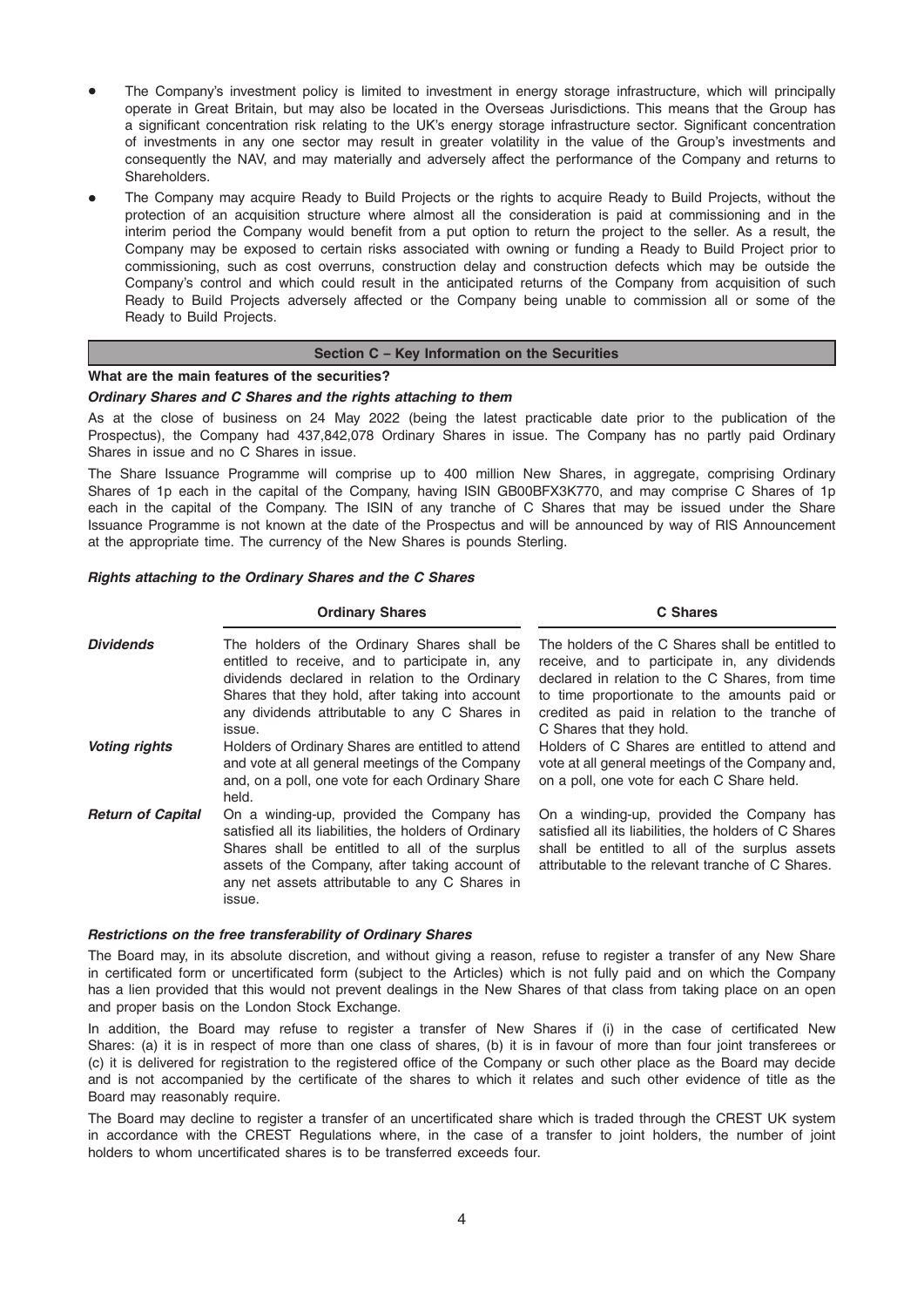- The Company's investment policy is limited to investment in energy storage infrastructure, which will principally operate in Great Britain, but may also be located in the Overseas Jurisdictions. This means that the Group has a significant concentration risk relating to the UK's energy storage infrastructure sector. Significant concentration of investments in any one sector may result in greater volatility in the value of the Group's investments and consequently the NAV, and may materially and adversely affect the performance of the Company and returns to Shareholders.
- The Company may acquire Ready to Build Projects or the rights to acquire Ready to Build Projects, without the protection of an acquisition structure where almost all the consideration is paid at commissioning and in the interim period the Company would benefit from a put option to return the project to the seller. As a result, the Company may be exposed to certain risks associated with owning or funding a Ready to Build Project prior to commissioning, such as cost overruns, construction delay and construction defects which may be outside the Company's control and which could result in the anticipated returns of the Company from acquisition of such Ready to Build Projects adversely affected or the Company being unable to commission all or some of the Ready to Build Projects.

### Section C – Key Information on the Securities

## What are the main features of the securities?

## Ordinary Shares and C Shares and the rights attaching to them

As at the close of business on 24 May 2022 (being the latest practicable date prior to the publication of the Prospectus), the Company had 437,842,078 Ordinary Shares in issue. The Company has no partly paid Ordinary Shares in issue and no C Shares in issue.

The Share Issuance Programme will comprise up to 400 million New Shares, in aggregate, comprising Ordinary Shares of 1p each in the capital of the Company, having ISIN GB00BFX3K770, and may comprise C Shares of 1p each in the capital of the Company. The ISIN of any tranche of C Shares that may be issued under the Share Issuance Programme is not known at the date of the Prospectus and will be announced by way of RIS Announcement at the appropriate time. The currency of the New Shares is pounds Sterling.

#### Rights attaching to the Ordinary Shares and the C Shares

#### Ordinary Shares **C Shares** C Shares

| <b>Dividends</b>         | The holders of the Ordinary Shares shall be<br>entitled to receive, and to participate in, any<br>dividends declared in relation to the Ordinary<br>Shares that they hold, after taking into account<br>any dividends attributable to any C Shares in<br>issue.           | The holders of the C Shares shall be entitled to<br>receive, and to participate in, any dividends<br>declared in relation to the C Shares, from time<br>to time proportionate to the amounts paid or<br>credited as paid in relation to the tranche of<br>C Shares that they hold. |
|--------------------------|---------------------------------------------------------------------------------------------------------------------------------------------------------------------------------------------------------------------------------------------------------------------------|------------------------------------------------------------------------------------------------------------------------------------------------------------------------------------------------------------------------------------------------------------------------------------|
| <b>Voting rights</b>     | Holders of Ordinary Shares are entitled to attend<br>and vote at all general meetings of the Company<br>and, on a poll, one vote for each Ordinary Share<br>held.                                                                                                         | Holders of C Shares are entitled to attend and<br>vote at all general meetings of the Company and,<br>on a poll, one vote for each C Share held.                                                                                                                                   |
| <b>Return of Capital</b> | On a winding-up, provided the Company has<br>satisfied all its liabilities, the holders of Ordinary<br>Shares shall be entitled to all of the surplus<br>assets of the Company, after taking account of<br>any net assets attributable to any C Shares in<br><b>ISSUA</b> | On a winding-up, provided the Company has<br>satisfied all its liabilities, the holders of C Shares<br>shall be entitled to all of the surplus assets<br>attributable to the relevant tranche of C Shares.                                                                         |

#### Restrictions on the free transferability of Ordinary Shares

The Board may, in its absolute discretion, and without giving a reason, refuse to register a transfer of any New Share in certificated form or uncertificated form (subject to the Articles) which is not fully paid and on which the Company has a lien provided that this would not prevent dealings in the New Shares of that class from taking place on an open and proper basis on the London Stock Exchange.

In addition, the Board may refuse to register a transfer of New Shares if (i) in the case of certificated New Shares: (a) it is in respect of more than one class of shares, (b) it is in favour of more than four joint transferees or (c) it is delivered for registration to the registered office of the Company or such other place as the Board may decide and is not accompanied by the certificate of the shares to which it relates and such other evidence of title as the Board may reasonably require.

The Board may decline to register a transfer of an uncertificated share which is traded through the CREST UK system in accordance with the CREST Regulations where, in the case of a transfer to joint holders, the number of joint holders to whom uncertificated shares is to be transferred exceeds four.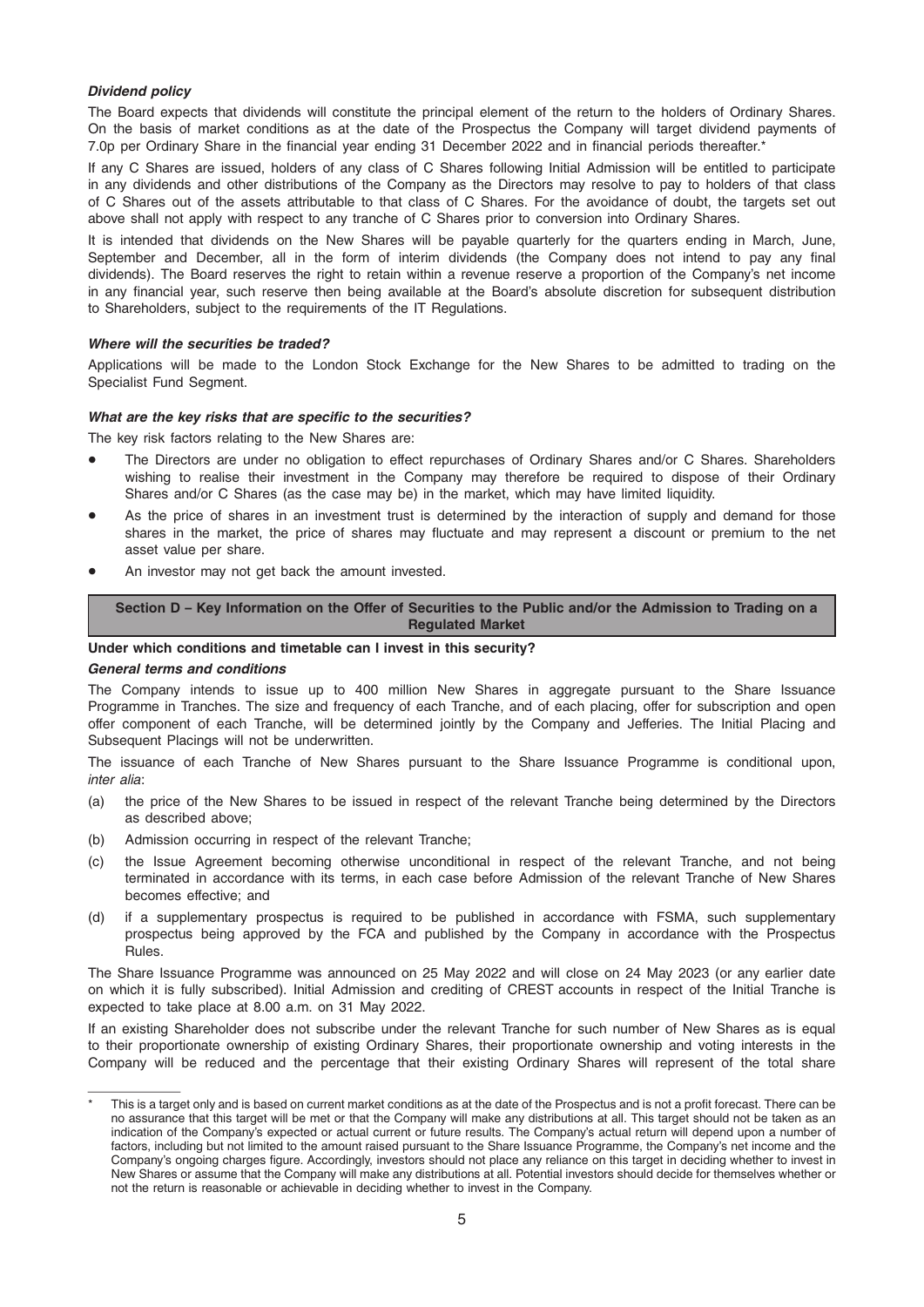## Dividend policy

The Board expects that dividends will constitute the principal element of the return to the holders of Ordinary Shares. On the basis of market conditions as at the date of the Prospectus the Company will target dividend payments of 7.0p per Ordinary Share in the financial year ending 31 December 2022 and in financial periods thereafter.\*

If any C Shares are issued, holders of any class of C Shares following Initial Admission will be entitled to participate in any dividends and other distributions of the Company as the Directors may resolve to pay to holders of that class of C Shares out of the assets attributable to that class of C Shares. For the avoidance of doubt, the targets set out above shall not apply with respect to any tranche of C Shares prior to conversion into Ordinary Shares.

It is intended that dividends on the New Shares will be payable quarterly for the quarters ending in March, June, September and December, all in the form of interim dividends (the Company does not intend to pay any final dividends). The Board reserves the right to retain within a revenue reserve a proportion of the Company's net income in any financial year, such reserve then being available at the Board's absolute discretion for subsequent distribution to Shareholders, subject to the requirements of the IT Regulations.

#### Where will the securities be traded?

Applications will be made to the London Stock Exchange for the New Shares to be admitted to trading on the Specialist Fund Segment.

#### What are the key risks that are specific to the securities?

The key risk factors relating to the New Shares are:

- The Directors are under no obligation to effect repurchases of Ordinary Shares and/or C Shares. Shareholders wishing to realise their investment in the Company may therefore be required to dispose of their Ordinary Shares and/or C Shares (as the case may be) in the market, which may have limited liquidity.
- As the price of shares in an investment trust is determined by the interaction of supply and demand for those shares in the market, the price of shares may fluctuate and may represent a discount or premium to the net asset value per share.
- An investor may not get back the amount invested.

Section D – Key Information on the Offer of Securities to the Public and/or the Admission to Trading on a Regulated Market

## Under which conditions and timetable can I invest in this security?

#### General terms and conditions

The Company intends to issue up to 400 million New Shares in aggregate pursuant to the Share Issuance Programme in Tranches. The size and frequency of each Tranche, and of each placing, offer for subscription and open offer component of each Tranche, will be determined jointly by the Company and Jefferies. The Initial Placing and Subsequent Placings will not be underwritten.

The issuance of each Tranche of New Shares pursuant to the Share Issuance Programme is conditional upon, inter alia:

- (a) the price of the New Shares to be issued in respect of the relevant Tranche being determined by the Directors as described above;
- (b) Admission occurring in respect of the relevant Tranche;
- (c) the Issue Agreement becoming otherwise unconditional in respect of the relevant Tranche, and not being terminated in accordance with its terms, in each case before Admission of the relevant Tranche of New Shares becomes effective; and
- (d) if a supplementary prospectus is required to be published in accordance with FSMA, such supplementary prospectus being approved by the FCA and published by the Company in accordance with the Prospectus Rules.

The Share Issuance Programme was announced on 25 May 2022 and will close on 24 May 2023 (or any earlier date on which it is fully subscribed). Initial Admission and crediting of CREST accounts in respect of the Initial Tranche is expected to take place at 8.00 a.m. on 31 May 2022.

If an existing Shareholder does not subscribe under the relevant Tranche for such number of New Shares as is equal to their proportionate ownership of existing Ordinary Shares, their proportionate ownership and voting interests in the Company will be reduced and the percentage that their existing Ordinary Shares will represent of the total share

This is a target only and is based on current market conditions as at the date of the Prospectus and is not a profit forecast. There can be no assurance that this target will be met or that the Company will make any distributions at all. This target should not be taken as an indication of the Company's expected or actual current or future results. The Company's actual return will depend upon a number of factors, including but not limited to the amount raised pursuant to the Share Issuance Programme, the Company's net income and the Company's ongoing charges figure. Accordingly, investors should not place any reliance on this target in deciding whether to invest in New Shares or assume that the Company will make any distributions at all. Potential investors should decide for themselves whether or not the return is reasonable or achievable in deciding whether to invest in the Company.